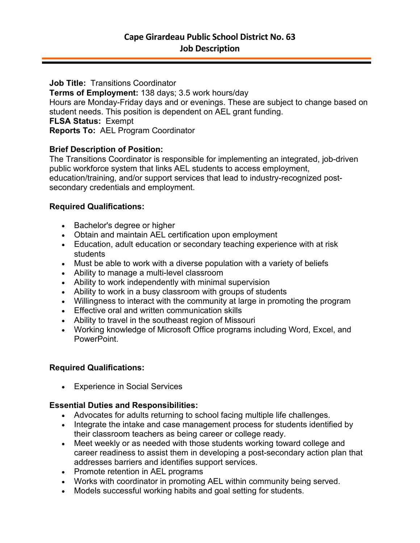**Job Title:** Transitions Coordinator

**Terms of Employment:** 138 days; 3.5 work hours/day Hours are Monday-Friday days and or evenings. These are subject to change based on student needs. This position is dependent on AEL grant funding. **FLSA Status:** Exempt **Reports To:** AEL Program Coordinator

## **Brief Description of Position:**

The Transitions Coordinator is responsible for implementing an integrated, job-driven public workforce system that links AEL students to access employment, education/training, and/or support services that lead to industry-recognized postsecondary credentials and employment.

## **Required Qualifications:**

- Bachelor's degree or higher
- Obtain and maintain AEL certification upon employment
- Education, adult education or secondary teaching experience with at risk students
- Must be able to work with a diverse population with a variety of beliefs
- Ability to manage a multi-level classroom
- Ability to work independently with minimal supervision
- Ability to work in a busy classroom with groups of students
- Willingness to interact with the community at large in promoting the program
- Effective oral and written communication skills
- Ability to travel in the southeast region of Missouri
- Working knowledge of Microsoft Office programs including Word, Excel, and PowerPoint.

# **Required Qualifications:**

• Experience in Social Services

# **Essential Duties and Responsibilities:**

- Advocates for adults returning to school facing multiple life challenges.
- Integrate the intake and case management process for students identified by their classroom teachers as being career or college ready.
- Meet weekly or as needed with those students working toward college and career readiness to assist them in developing a post-secondary action plan that addresses barriers and identifies support services.
- Promote retention in AEL programs
- Works with coordinator in promoting AEL within community being served.
- Models successful working habits and goal setting for students.